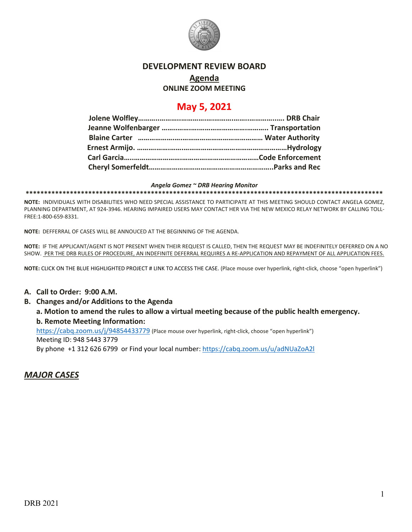

#### **DEVELOPMENT REVIEW BOARD**

# **Agenda**

### **ONLINE ZOOM MEETING**

## **May 5, 2021**

#### *Angela Gomez ~ DRB Hearing Monitor*

**\*\*\*\*\*\*\*\*\*\*\*\*\*\*\*\*\*\*\*\*\*\*\*\*\*\*\*\*\*\*\*\*\*\*\*\*\*\*\*\*\*\*\*\*\*\*\*\*\*\*\*\*\*\*\*\*\*\*\*\*\*\*\*\*\*\*\*\*\*\*\*\*\*\*\*\*\*\*\*\*\*\*\*\*\*\*\*\*\*\*\*\*\*\*\*\*\***

**NOTE:** INDIVIDUALS WITH DISABILITIES WHO NEED SPECIAL ASSISTANCE TO PARTICIPATE AT THIS MEETING SHOULD CONTACT ANGELA GOMEZ, PLANNING DEPARTMENT, AT 924-3946. HEARING IMPAIRED USERS MAY CONTACT HER VIA THE NEW MEXICO RELAY NETWORK BY CALLING TOLL-FREE:1-800-659-8331.

**NOTE:** DEFFERRAL OF CASES WILL BE ANNOUCED AT THE BEGINNING OF THE AGENDA.

**NOTE:** IF THE APPLICANT/AGENT IS NOT PRESENT WHEN THEIR REQUEST IS CALLED, THEN THE REQUEST MAY BE INDEFINITELY DEFERRED ON A NO SHOW. PER THE DRB RULES OF PROCEDURE, AN INDEFINITE DEFERRAL REQUIRES A RE-APPLICATION AND REPAYMENT OF ALL APPLICATION FEES.

**NOTE:** CLICK ON THE BLUE HIGHLIGHTED PROJECT # LINK TO ACCESS THE CASE. (Place mouse over hyperlink, right-click, choose "open hyperlink")

#### **A. Call to Order: 9:00 A.M.**

- **B. Changes and/or Additions to the Agenda**
	- **a. Motion to amend the rules to allow a virtual meeting because of the public health emergency. b. Remote Meeting Information:**

<https://cabq.zoom.us/j/94854433779> (Place mouse over hyperlink, right-click, choose "open hyperlink") Meeting ID: 948 5443 3779

By phone +1 312 626 6799 or Find your local number:<https://cabq.zoom.us/u/adNUaZoA2l>

### *MAJOR CASES*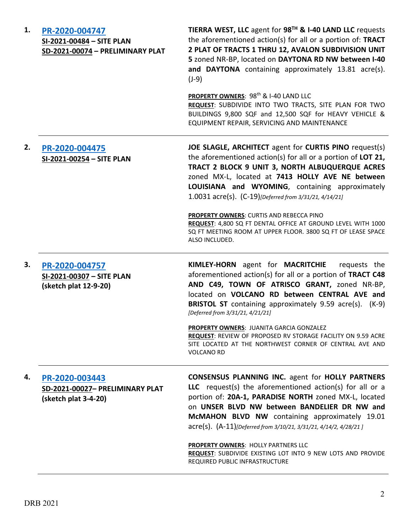| 1. | PR-2020-004747<br>SI-2021-00484 - SITE PLAN<br>SD-2021-00074 - PRELIMINARY PLAT | TIERRA WEST, LLC agent for 98TH & I-40 LAND LLC requests<br>the aforementioned action(s) for all or a portion of: TRACT<br>2 PLAT OF TRACTS 1 THRU 12, AVALON SUBDIVISION UNIT<br>5 zoned NR-BP, located on DAYTONA RD NW between I-40<br>and DAYTONA containing approximately 13.81 acre(s).<br>$(J-9)$                                                                                                                                                                                                                      |
|----|---------------------------------------------------------------------------------|-------------------------------------------------------------------------------------------------------------------------------------------------------------------------------------------------------------------------------------------------------------------------------------------------------------------------------------------------------------------------------------------------------------------------------------------------------------------------------------------------------------------------------|
|    |                                                                                 | PROPERTY OWNERS: 98 <sup>th</sup> & I-40 LAND LLC<br>REQUEST: SUBDIVIDE INTO TWO TRACTS, SITE PLAN FOR TWO<br>BUILDINGS 9,800 SQF and 12,500 SQF for HEAVY VEHICLE &<br>EQUIPMENT REPAIR, SERVICING AND MAINTENANCE                                                                                                                                                                                                                                                                                                           |
| 2. | PR-2020-004475<br>SI-2021-00254 - SITE PLAN                                     | JOE SLAGLE, ARCHITECT agent for CURTIS PINO request(s)<br>the aforementioned action(s) for all or a portion of LOT 21,<br>TRACT 2 BLOCK 9 UNIT 3, NORTH ALBUQUERQUE ACRES<br>zoned MX-L, located at 7413 HOLLY AVE NE between<br>LOUISIANA and WYOMING, containing approximately<br>1.0031 acre(s). (C-19)[Deferred from 3/31/21, 4/14/21]<br><b>PROPERTY OWNERS: CURTIS AND REBECCA PINO</b><br>REQUEST: 4,800 SQ FT DENTAL OFFICE AT GROUND LEVEL WITH 1000<br>SQ FT MEETING ROOM AT UPPER FLOOR. 3800 SQ FT OF LEASE SPACE |
| 3. |                                                                                 | ALSO INCLUDED.<br>KIMLEY-HORN agent for MACRITCHIE<br>requests the                                                                                                                                                                                                                                                                                                                                                                                                                                                            |
|    | PR-2020-004757<br>SI-2021-00307 - SITE PLAN<br>(sketch plat 12-9-20)            | aforementioned action(s) for all or a portion of TRACT C48<br>AND C49, TOWN OF ATRISCO GRANT, zoned NR-BP,<br>located on VOLCANO RD between CENTRAL AVE and<br><b>BRISTOL ST</b> containing approximately 9.59 acre(s). (K-9)<br>[Deferred from 3/31/21, 4/21/21]                                                                                                                                                                                                                                                             |
|    |                                                                                 | PROPERTY OWNERS: JUANITA GARCIA GONZALEZ<br>REQUEST: REVIEW OF PROPOSED RV STORAGE FACILITY ON 9.59 ACRE<br>SITE LOCATED AT THE NORTHWEST CORNER OF CENTRAL AVE AND<br><b>VOLCANO RD</b>                                                                                                                                                                                                                                                                                                                                      |
| 4. | PR-2020-003443<br>SD-2021-00027- PRELIMINARY PLAT<br>(sketch plat 3-4-20)       | <b>CONSENSUS PLANNING INC. agent for HOLLY PARTNERS</b><br>LLC request(s) the aforementioned action(s) for all or a<br>portion of: 20A-1, PARADISE NORTH zoned MX-L, located<br>on UNSER BLVD NW between BANDELIER DR NW and<br>McMAHON BLVD NW containing approximately 19.01<br>acre(s). (A-11)[Deferred from 3/10/21, 3/31/21, 4/14/2, 4/28/21]                                                                                                                                                                            |
|    |                                                                                 | PROPERTY OWNERS: HOLLY PARTNERS LLC<br>REQUEST: SUBDIVIDE EXISTING LOT INTO 9 NEW LOTS AND PROVIDE<br>REQUIRED PUBLIC INFRASTRUCTURE                                                                                                                                                                                                                                                                                                                                                                                          |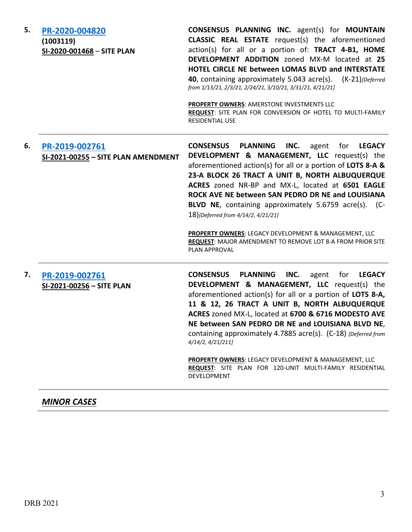**5. [PR-2020-004820](http://data.cabq.gov/government/planning/DRB/PR-2020-004820/DRB%20Submittals/PR-2020-004820_Apr_21_2021_supp/PR-2020-004820%20Supplemental%20DRB%20Submittal%204-15-21.pdf) (1003119) SI-2020-001468** – **SITE PLAN CONSENSUS PLANNING INC.** agent(s) for **MOUNTAIN CLASSIC REAL ESTATE** request(s) the aforementioned action(s) for all or a portion of: **TRACT 4-B1, HOME DEVELOPMENT ADDITION** zoned MX-M located at **25 HOTEL CIRCLE NE between LOMAS BLVD and INTERSTATE 40**, containing approximately 5.043 acre(s). (K-21)*[Deferred from 1/13/21, 2/3/21, 2/24/21, 3/10/21, 3/31/21, 4/21/21]* **PROPERTY OWNERS**: AMERSTONE INVESTMENTS LLC **REQUEST**: SITE PLAN FOR CONVERSION OF HOTEL TO MULTI-FAMILY RESIDENTIAL USE **6. [PR-2019-002761](http://data.cabq.gov/government/planning/DRB/PR-2019-002761/DRB%20Submittals/PR-2021-002761_%20May_05_2021_supp/) SI-2021-00255 – SITE PLAN AMENDMENT CONSENSUS PLANNING INC.** agent for **LEGACY DEVELOPMENT & MANAGEMENT, LLC** request(s) the aforementioned action(s) for all or a portion of **LOTS 8-A & 23-A BLOCK 26 TRACT A UNIT B, NORTH ALBUQUERQUE ACRES** zoned NR-BP and MX-L, located at **6501 EAGLE ROCK AVE NE between SAN PEDRO DR NE and LOUISIANA BLVD NE**, containing approximately 5.6759 acre(s). (C-18)*{Deferred from 4/14/2, 4/21/21]* **PROPERTY OWNERS**: LEGACY DEVELOPMENT & MANAGEMENT, LLC **REQUEST**: MAJOR AMENDMENT TO REMOVE LOT 8-A FROM PRIOR SITE PLAN APPROVAL **7. [PR-2019-002761](http://data.cabq.gov/government/planning/DRB/PR-2019-002761/DRB%20Submittals/PR-2021-002761_%20May_05_2021_supp/) SI-2021-00256 – SITE PLAN CONSENSUS PLANNING INC.** agent for **LEGACY DEVELOPMENT & MANAGEMENT, LLC** request(s) the aforementioned action(s) for all or a portion of **LOTS 8-A, 11 & 12, 26 TRACT A UNIT B, NORTH ALBUQUERQUE ACRES** zoned MX-L, located at **6700 & 6716 MODESTO AVE NE between SAN PEDRO DR NE and LOUISIANA BLVD NE**, containing approximately 4.7885 acre(s). (C-18) *{Deferred from 4/14/2, 4/21/211]* **PROPERTY OWNERS**: LEGACY DEVELOPMENT & MANAGEMENT, LLC

DEVELOPMENT

**REQUEST**: SITE PLAN FOR 120-UNIT MULTI-FAMILY RESIDENTIAL

*MINOR CASES*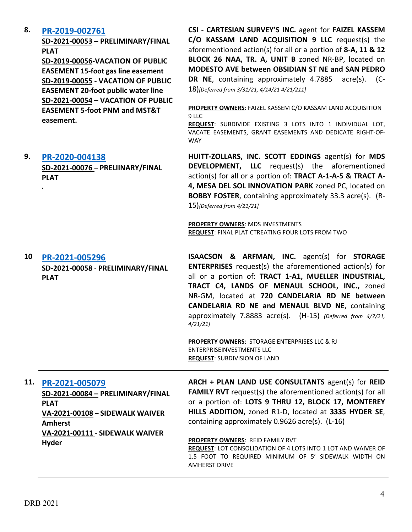| 8.  | PR-2019-002761<br>SD-2021-00053 - PRELIMINARY/FINAL<br><b>PLAT</b><br>SD-2019-00056-VACATION OF PUBLIC<br><b>EASEMENT 15-foot gas line easement</b><br>SD-2019-00055 - VACATION OF PUBLIC<br><b>EASEMENT 20-foot public water line</b><br>SD-2021-00054 - VACATION OF PUBLIC<br><b>EASEMENT 5-foot PNM and MST&amp;T</b><br>easement. | CSI - CARTESIAN SURVEY'S INC. agent for FAIZEL KASSEM<br>C/O KASSAM LAND ACQUISITION 9 LLC request(s) the<br>aforementioned action(s) for all or a portion of 8-A, 11 & 12<br>BLOCK 26 NAA, TR. A, UNIT B zoned NR-BP, located on<br>MODESTO AVE between OBSIDIAN ST NE and SAN PEDRO<br>DR NE, containing approximately 4.7885 acre(s). (C-<br>18)[Deferred from 3/31/21, 4/14/21 4/21/211]<br>PROPERTY OWNERS: FAIZEL KASSEM C/O KASSAM LAND ACQUISITION<br>9 LLC<br>REQUEST: SUBDIVIDE EXISTING 3 LOTS INTO 1 INDIVIDUAL LOT,<br>VACATE EASEMENTS, GRANT EASEMENTS AND DEDICATE RIGHT-OF-<br><b>WAY</b> |
|-----|---------------------------------------------------------------------------------------------------------------------------------------------------------------------------------------------------------------------------------------------------------------------------------------------------------------------------------------|------------------------------------------------------------------------------------------------------------------------------------------------------------------------------------------------------------------------------------------------------------------------------------------------------------------------------------------------------------------------------------------------------------------------------------------------------------------------------------------------------------------------------------------------------------------------------------------------------------|
| 9.  | PR-2020-004138<br>SD-2021-00076 - PRELIINARY/FINAL<br><b>PLAT</b>                                                                                                                                                                                                                                                                     | HUITT-ZOLLARS, INC. SCOTT EDDINGS agent(s) for MDS<br><b>DEVELOPMENT, LLC</b> request(s) the aforementioned<br>action(s) for all or a portion of: TRACT A-1-A-5 & TRACT A-<br>4, MESA DEL SOL INNOVATION PARK zoned PC, located on<br><b>BOBBY FOSTER, containing approximately 33.3 acre(s). (R-</b><br>15){Deferred from 4/21/21]<br><b>PROPERTY OWNERS: MDS INVESTMENTS</b><br>REQUEST: FINAL PLAT CTREATING FOUR LOTS FROM TWO                                                                                                                                                                         |
| 10  | PR-2021-005296<br>SD-2021-00058 - PRELIMINARY/FINAL<br><b>PLAT</b>                                                                                                                                                                                                                                                                    | <b>ISAACSON &amp; ARFMAN, INC.</b> agent(s) for <b>STORAGE</b><br><b>ENTERPRISES</b> request(s) the aforementioned action(s) for<br>all or a portion of: TRACT 1-A1, MUELLER INDUSTRIAL,<br>TRACT C4, LANDS OF MENAUL SCHOOL, INC., zoned<br>NR-GM, located at 720 CANDELARIA RD NE between<br>CANDELARIA RD NE and MENAUL BLVD NE, containing<br>approximately 7.8883 acre(s). (H-15) (Deferred from 4/7/21,<br>4/21/21<br><b>PROPERTY OWNERS: STORAGE ENTERPRISES LLC &amp; RJ</b><br><b>ENTERPRISEINVESTMENTS LLC</b><br><b>REQUEST: SUBDIVISION OF LAND</b>                                            |
| 11. | PR-2021-005079<br>SD-2021-00084 - PRELIMINARY/FINAL<br><b>PLAT</b><br>VA-2021-00108 - SIDEWALK WAIVER<br><b>Amherst</b><br>VA-2021-00111 - SIDEWALK WAIVER<br><b>Hyder</b>                                                                                                                                                            | ARCH + PLAN LAND USE CONSULTANTS agent(s) for REID<br><b>FAMILY RVT</b> request(s) the aforementioned action(s) for all<br>or a portion of: LOTS 9 THRU 12, BLOCK 17, MONTEREY<br>HILLS ADDITION, zoned R1-D, located at 3335 HYDER SE,<br>containing approximately 0.9626 acre(s). (L-16)<br>PROPERTY OWNERS: REID FAMILY RVT<br>REQUEST: LOT CONSOLIDATION OF 4 LOTS INTO 1 LOT AND WAIVER OF<br>1.5 FOOT TO REQUIRED MINIMUM OF 5' SIDEWALK WIDTH ON<br><b>AMHERST DRIVE</b>                                                                                                                            |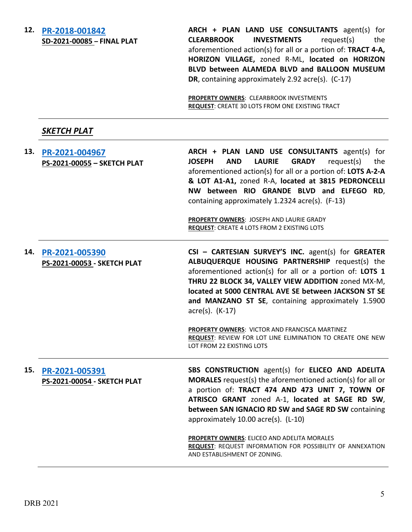#### **12. [PR-2018-001842](http://data.cabq.gov/government/planning/DRB/PR-2018-001842/DRB%20Submittals/PR-2018-001842_May_5_2021/Application/PR%202018-001842%20FINAL%20PLAT%20-%20MAJOR%20SUBD.pdf)**

**ARCH + PLAN LAND USE CONSULTANTS** agent(s) for **CLEARBROOK INVESTMENTS** request(s) the aforementioned action(s) for all or a portion of: **TRACT 4-A, HORIZON VILLAGE,** zoned R-ML, **located on HORIZON BLVD between ALAMEDA BLVD and BALLOON MUSEUM DR**, containing approximately 2.92 acre(s). (C-17)

**PROPERTY OWNERS**: CLEARBROOK INVESTMENTS **REQUEST**: CREATE 30 LOTS FROM ONE EXISTING TRACT

## *SKETCH PLAT*

| 13. | PR-2021-004967<br>PS-2021-00055 - SKETCH PLAT | ARCH + PLAN LAND USE CONSULTANTS agent(s) for<br><b>LAURIE</b><br><b>JOSEPH</b><br><b>AND</b><br><b>GRADY</b><br>request(s)<br>the<br>aforementioned action(s) for all or a portion of: LOTS A-2-A<br>& LOT A1-A1, zoned R-A, located at 3815 PEDRONCELLI<br>NW between RIO GRANDE BLVD and ELFEGO RD,<br>containing approximately 1.2324 acre(s). (F-13)<br>PROPERTY OWNERS: JOSEPH AND LAURIE GRADY<br><b>REQUEST: CREATE 4 LOTS FROM 2 EXISTING LOTS</b>                                                |
|-----|-----------------------------------------------|------------------------------------------------------------------------------------------------------------------------------------------------------------------------------------------------------------------------------------------------------------------------------------------------------------------------------------------------------------------------------------------------------------------------------------------------------------------------------------------------------------|
| 14. | PR-2021-005390<br>PS-2021-00053 - SKETCH PLAT | CSI - CARTESIAN SURVEY'S INC. agent(s) for GREATER<br>ALBUQUERQUE HOUSING PARTNERSHIP request(s) the<br>aforementioned action(s) for all or a portion of: LOTS 1<br>THRU 22 BLOCK 34, VALLEY VIEW ADDITION zoned MX-M,<br>located at 5000 CENTRAL AVE SE between JACKSON ST SE<br>and MANZANO ST SE, containing approximately 1.5900<br>$\arccos(5)$ . (K-17)<br>PROPERTY OWNERS: VICTOR AND FRANCISCA MARTINEZ<br>REQUEST: REVIEW FOR LOT LINE ELIMINATION TO CREATE ONE NEW<br>LOT FROM 22 EXISTING LOTS |
| 15. | PR-2021-005391<br>PS-2021-00054 - SKETCH PLAT | SBS CONSTRUCTION agent(s) for ELICEO AND ADELITA<br><b>MORALES</b> request(s) the aforementioned action(s) for all or<br>a portion of: TRACT 474 AND 473 UNIT 7, TOWN OF<br>ATRISCO GRANT zoned A-1, located at SAGE RD SW,<br>between SAN IGNACIO RD SW and SAGE RD SW containing<br>approximately 10.00 acre(s). (L-10)                                                                                                                                                                                  |
|     |                                               | PROPERTY OWNERS: ELICEO AND ADELITA MORALES<br>REQUEST: REQUEST INFORMATION FOR POSSIBILITY OF ANNEXATION<br>AND ESTABLISHMENT OF ZONING.                                                                                                                                                                                                                                                                                                                                                                  |